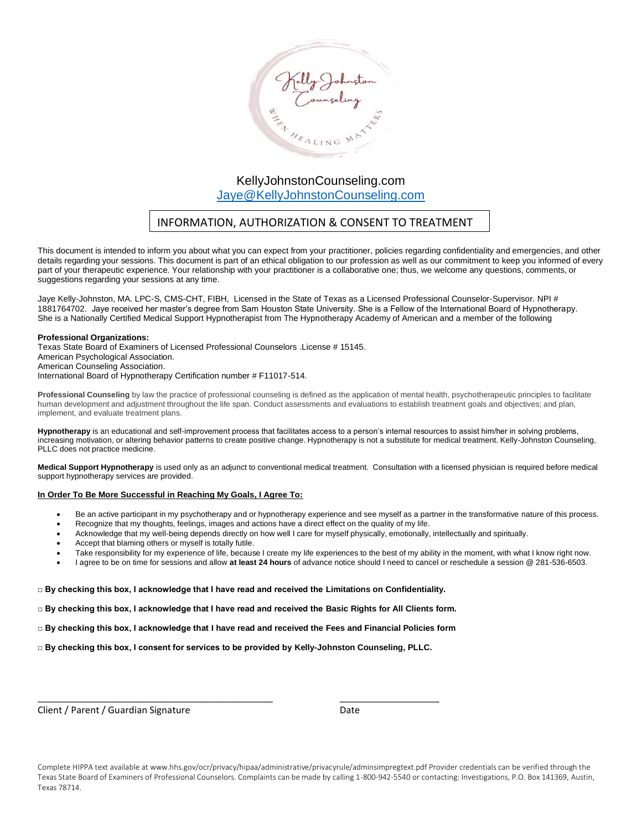

## INFORMATION, AUTHORIZATION & CONSENT TO TREATMENT

This document is intended to inform you about what you can expect from your practitioner, policies regarding confidentiality and emergencies, and other details regarding your sessions. This document is part of an ethical obligation to our profession as well as our commitment to keep you informed of every part of your therapeutic experience. Your relationship with your practitioner is a collaborative one; thus, we welcome any questions, comments, or suggestions regarding your sessions at any time.

Jaye Kelly-Johnston, MA. LPC-S, CMS-CHT, FIBH, Licensed in the State of Texas as a Licensed Professional Counselor-Supervisor. NPI # 1881764702. Jaye received her master's degree from Sam Houston State University. She is a Fellow of the International Board of Hypnotherapy. She is a Nationally Certified Medical Support Hypnotherapist from The Hypnotherapy Academy of American and a member of the following

#### **Professional Organizations:**

Texas State Board of Examiners of Licensed Professional Counselors .License # 15145. American Psychological Association. American Counseling Association. International Board of Hypnotherapy Certification number # F11017-514.

**Professional Counseling** by law the practice of professional counseling is defined as the application of mental health, psychotherapeutic principles to facilitate human development and adjustment throughout the life span. Conduct assessments and evaluations to establish treatment goals and objectives; and plan, implement, and evaluate treatment plans.

**Hypnotherapy** is an educational and self-improvement process that facilitates access to a person's internal resources to assist him/her in solving problems, increasing motivation, or altering behavior patterns to create positive change. Hypnotherapy is not a substitute for medical treatment. Kelly-Johnston Counseling, PLLC does not practice medicine.

**Medical Support Hypnotherapy** is used only as an adjunct to conventional medical treatment. Consultation with a licensed physician is required before medical support hypnotherapy services are provided.

#### **In Order To Be More Successful in Reaching My Goals, I Agree To:**

- Be an active participant in my psychotherapy and or hypnotherapy experience and see myself as a partner in the transformative nature of this process.
- Recognize that my thoughts, feelings, images and actions have a direct effect on the quality of my life.
- Acknowledge that my well-being depends directly on how well I care for myself physically, emotionally, intellectually and spiritually.
- Accept that blaming others or myself is totally futile.
- Take responsibility for my experience of life, because I create my life experiences to the best of my ability in the moment, with what I know right now.
- I agree to be on time for sessions and allow **at least 24 hours** of advance notice should I need to cancel or reschedule a session @ 281-536-6503.

#### **□ By checking this box, I acknowledge that I have read and received the Limitations on Confidentiality.**

**□ By checking this box, I acknowledge that I have read and received the Basic Rights for All Clients form.** 

**□ By checking this box, I acknowledge that I have read and received the Fees and Financial Policies form**

**□ By checking this box, I consent for services to be provided by Kelly-Johnston Counseling, PLLC.**

\_\_\_\_\_\_\_\_\_\_\_\_\_\_\_\_\_\_\_\_\_\_\_\_\_\_\_\_\_\_\_\_\_\_\_\_\_\_\_\_\_\_\_\_\_ \_\_\_\_\_\_\_\_\_\_\_\_\_\_\_\_\_\_\_

Client / Parent / Guardian Signature Date

Complete HIPPA text available at www.hhs.gov/ocr/privacy/hipaa/administrative/privacyrule/adminsimpregtext.pdf Provider credentials can be verified through the Texas State Board of Examiners of Professional Counselors. Complaints can be made by calling 1-800-942-5540 or contacting: Investigations, P.O. Box 141369, Austin, Texas 78714.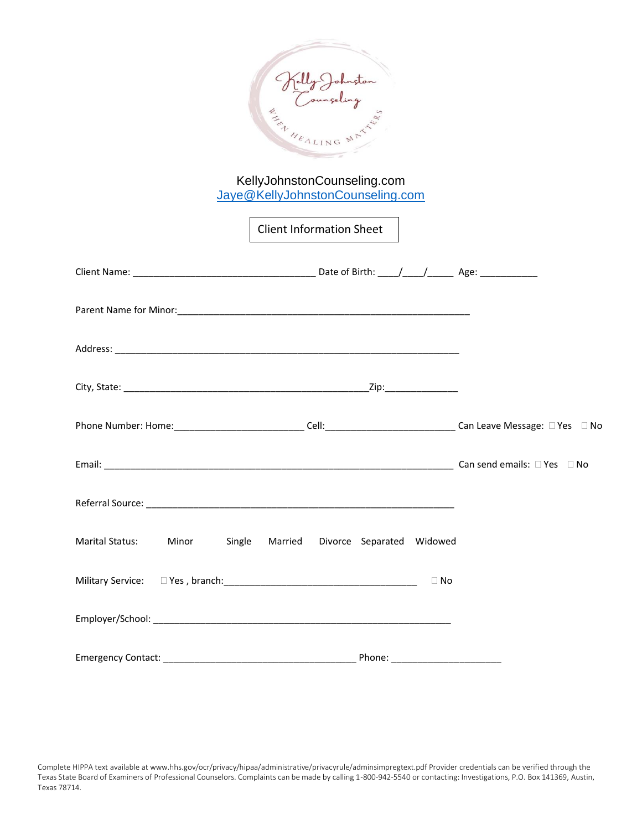

Client Information Sheet

| $\small \textsf{Email:} \begin{tabular}{ll} \textbf{\textit{L}}\\ \textbf{\textit{L}}\\ \textbf{\textit{L}}\\ \textbf{\textit{L}}\\ \textbf{\textit{L}}\\ \textbf{\textit{L}}\\ \textbf{\textit{L}}\\ \textbf{\textit{L}}\\ \textbf{\textit{L}}\\ \textbf{\textit{L}}\\ \textbf{\textit{L}}\\ \textbf{\textit{L}}\\ \textbf{\textit{L}}\\ \textbf{\textit{L}}\\ \textbf{\textit{L}}\\ \textbf{\textit{L}}\\ \textbf{\textit{L}}\\ \textbf{\textit{L}}\\ \textbf{\textit{L}}\\ \textbf{\textit{L}}\\ \textbf$ |           |
|--------------------------------------------------------------------------------------------------------------------------------------------------------------------------------------------------------------------------------------------------------------------------------------------------------------------------------------------------------------------------------------------------------------------------------------------------------------------------------------------------------------|-----------|
|                                                                                                                                                                                                                                                                                                                                                                                                                                                                                                              |           |
| Marital Status: Minor Single Married Divorce Separated Widowed                                                                                                                                                                                                                                                                                                                                                                                                                                               |           |
|                                                                                                                                                                                                                                                                                                                                                                                                                                                                                                              | $\Box$ No |
|                                                                                                                                                                                                                                                                                                                                                                                                                                                                                                              |           |
| Phone: __________________________                                                                                                                                                                                                                                                                                                                                                                                                                                                                            |           |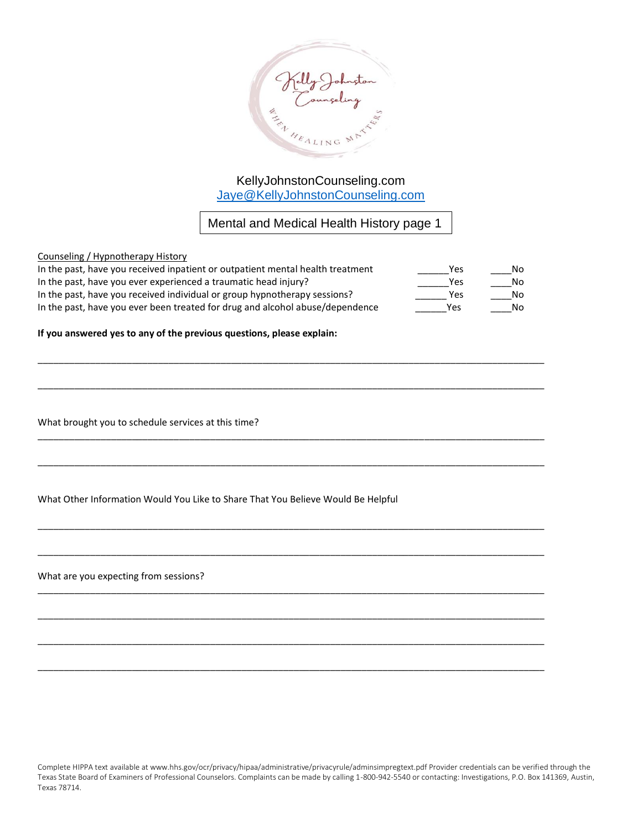

Mental and Medical Health History page 1

#### Counseling / Hypnotherapy History

| In the past, have you received inpatient or outpatient mental health treatment | Yes | No. |
|--------------------------------------------------------------------------------|-----|-----|
| In the past, have you ever experienced a traumatic head injury?                | Yes | No. |
| In the past, have you received individual or group hypnotherapy sessions?      | Yes | No. |
| In the past, have you ever been treated for drug and alcohol abuse/dependence  | Yes | No. |

\_\_\_\_\_\_\_\_\_\_\_\_\_\_\_\_\_\_\_\_\_\_\_\_\_\_\_\_\_\_\_\_\_\_\_\_\_\_\_\_\_\_\_\_\_\_\_\_\_\_\_\_\_\_\_\_\_\_\_\_\_\_\_\_\_\_\_\_\_\_\_\_\_\_\_\_\_\_\_\_\_\_\_\_\_\_\_\_\_\_\_\_\_\_\_\_\_

\_\_\_\_\_\_\_\_\_\_\_\_\_\_\_\_\_\_\_\_\_\_\_\_\_\_\_\_\_\_\_\_\_\_\_\_\_\_\_\_\_\_\_\_\_\_\_\_\_\_\_\_\_\_\_\_\_\_\_\_\_\_\_\_\_\_\_\_\_\_\_\_\_\_\_\_\_\_\_\_\_\_\_\_\_\_\_\_\_\_\_\_\_\_\_\_\_

\_\_\_\_\_\_\_\_\_\_\_\_\_\_\_\_\_\_\_\_\_\_\_\_\_\_\_\_\_\_\_\_\_\_\_\_\_\_\_\_\_\_\_\_\_\_\_\_\_\_\_\_\_\_\_\_\_\_\_\_\_\_\_\_\_\_\_\_\_\_\_\_\_\_\_\_\_\_\_\_\_\_\_\_\_\_\_\_\_\_\_\_\_\_\_\_\_

\_\_\_\_\_\_\_\_\_\_\_\_\_\_\_\_\_\_\_\_\_\_\_\_\_\_\_\_\_\_\_\_\_\_\_\_\_\_\_\_\_\_\_\_\_\_\_\_\_\_\_\_\_\_\_\_\_\_\_\_\_\_\_\_\_\_\_\_\_\_\_\_\_\_\_\_\_\_\_\_\_\_\_\_\_\_\_\_\_\_\_\_\_\_\_\_\_

\_\_\_\_\_\_\_\_\_\_\_\_\_\_\_\_\_\_\_\_\_\_\_\_\_\_\_\_\_\_\_\_\_\_\_\_\_\_\_\_\_\_\_\_\_\_\_\_\_\_\_\_\_\_\_\_\_\_\_\_\_\_\_\_\_\_\_\_\_\_\_\_\_\_\_\_\_\_\_\_\_\_\_\_\_\_\_\_\_\_\_\_\_\_\_\_\_

\_\_\_\_\_\_\_\_\_\_\_\_\_\_\_\_\_\_\_\_\_\_\_\_\_\_\_\_\_\_\_\_\_\_\_\_\_\_\_\_\_\_\_\_\_\_\_\_\_\_\_\_\_\_\_\_\_\_\_\_\_\_\_\_\_\_\_\_\_\_\_\_\_\_\_\_\_\_\_\_\_\_\_\_\_\_\_\_\_\_\_\_\_\_\_\_\_

\_\_\_\_\_\_\_\_\_\_\_\_\_\_\_\_\_\_\_\_\_\_\_\_\_\_\_\_\_\_\_\_\_\_\_\_\_\_\_\_\_\_\_\_\_\_\_\_\_\_\_\_\_\_\_\_\_\_\_\_\_\_\_\_\_\_\_\_\_\_\_\_\_\_\_\_\_\_\_\_\_\_\_\_\_\_\_\_\_\_\_\_\_\_\_\_\_

\_\_\_\_\_\_\_\_\_\_\_\_\_\_\_\_\_\_\_\_\_\_\_\_\_\_\_\_\_\_\_\_\_\_\_\_\_\_\_\_\_\_\_\_\_\_\_\_\_\_\_\_\_\_\_\_\_\_\_\_\_\_\_\_\_\_\_\_\_\_\_\_\_\_\_\_\_\_\_\_\_\_\_\_\_\_\_\_\_\_\_\_\_\_\_\_\_

\_\_\_\_\_\_\_\_\_\_\_\_\_\_\_\_\_\_\_\_\_\_\_\_\_\_\_\_\_\_\_\_\_\_\_\_\_\_\_\_\_\_\_\_\_\_\_\_\_\_\_\_\_\_\_\_\_\_\_\_\_\_\_\_\_\_\_\_\_\_\_\_\_\_\_\_\_\_\_\_\_\_\_\_\_\_\_\_\_\_\_\_\_\_\_\_\_

\_\_\_\_\_\_\_\_\_\_\_\_\_\_\_\_\_\_\_\_\_\_\_\_\_\_\_\_\_\_\_\_\_\_\_\_\_\_\_\_\_\_\_\_\_\_\_\_\_\_\_\_\_\_\_\_\_\_\_\_\_\_\_\_\_\_\_\_\_\_\_\_\_\_\_\_\_\_\_\_\_\_\_\_\_\_\_\_\_\_\_\_\_\_\_\_\_

#### **If you answered yes to any of the previous questions, please explain:**

What brought you to schedule services at this time?

What Other Information Would You Like to Share That You Believe Would Be Helpful

What are you expecting from sessions?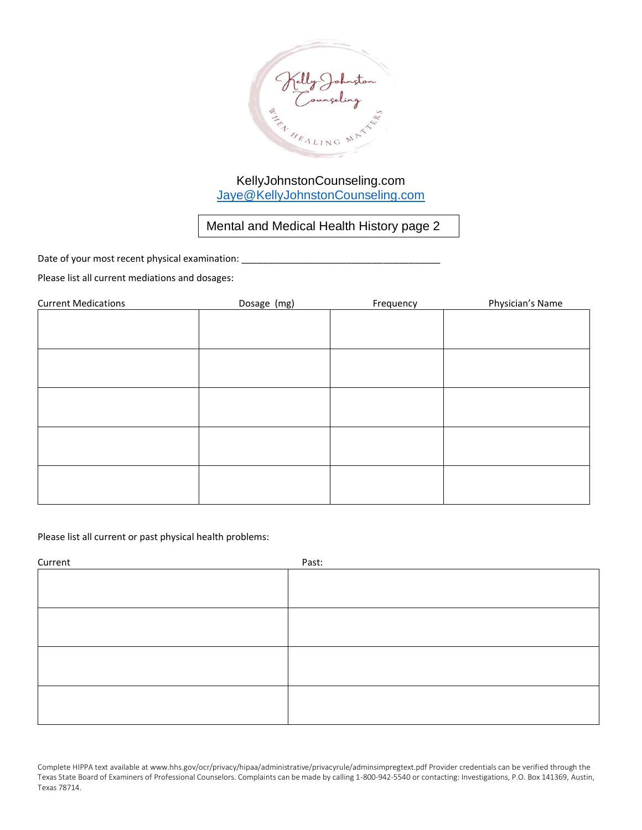

Mental and Medical Health History page 2

Date of your most recent physical examination: \_\_\_\_\_\_\_\_\_\_\_\_\_\_\_\_\_\_\_\_\_\_\_\_\_\_\_\_\_\_\_\_\_

Please list all current mediations and dosages:

| <b>Current Medications</b> | Dosage (mg) | Frequency | Physician's Name |
|----------------------------|-------------|-----------|------------------|
|                            |             |           |                  |
|                            |             |           |                  |
|                            |             |           |                  |
|                            |             |           |                  |
|                            |             |           |                  |
|                            |             |           |                  |
|                            |             |           |                  |
|                            |             |           |                  |
|                            |             |           |                  |
|                            |             |           |                  |
|                            |             |           |                  |
|                            |             |           |                  |
|                            |             |           |                  |
|                            |             |           |                  |
|                            |             |           |                  |

Please list all current or past physical health problems:

| Current | Past: |
|---------|-------|
|         |       |
|         |       |
|         |       |
|         |       |
|         |       |
|         |       |
|         |       |
|         |       |
|         |       |
|         |       |
|         |       |
|         |       |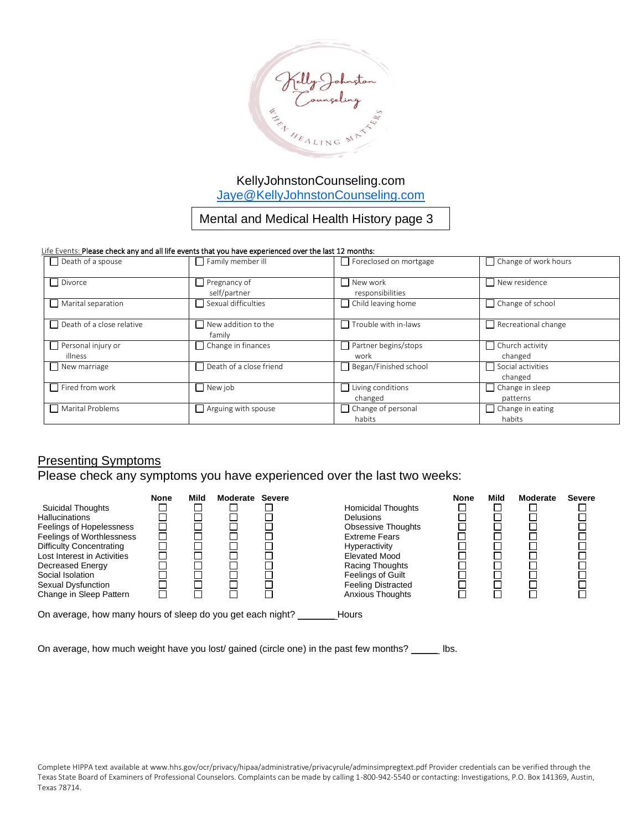

## Mental and Medical Health History page 3

#### Life Events: Please check any and all life events that you have experienced over the last 12 months:

| $\Box$ Death of a spouse         | $\Box$ Family member ill             | $\Box$ Foreclosed on mortgage       | $\Box$ Change of work hours  |
|----------------------------------|--------------------------------------|-------------------------------------|------------------------------|
| Divorce                          | $\Box$ Pregnancy of<br>self/partner  | New work<br>responsibilities        | $\sqcap$ New residence       |
| Marital separation               | Sexual difficulties                  | $\Box$ Child leaving home           | $\Box$ Change of school      |
| $\Box$ Death of a close relative | $\Box$ New addition to the<br>family | $\Box$ Trouble with in-laws         | Recreational change          |
| $\Box$ Personal injury or        | $\Box$ Change in finances            | Partner begins/stops                | $\Box$ Church activity       |
| illness                          |                                      | work                                | changed                      |
| New marriage                     | $\Box$ Death of a close friend       | Began/Finished school               | Social activities<br>changed |
| $\Box$ Fired from work           | $\Box$ New job                       | $\Box$ Living conditions            | $\Box$ Change in sleep       |
|                                  |                                      | changed                             | patterns                     |
| Marital Problems                 | $\Box$ Arguing with spouse           | $\Box$ Change of personal<br>habits | Change in eating<br>habits   |

## **Presenting Symptoms**

## Please check any symptoms you have experienced over the last two weeks:

|                                                            | <b>None</b> | Mild | Moderate | <b>Severe</b> |                           | <b>None</b> | Mild | Moderate | <b>Severe</b> |
|------------------------------------------------------------|-------------|------|----------|---------------|---------------------------|-------------|------|----------|---------------|
| Suicidal Thoughts                                          |             |      |          |               | <b>Homicidal Thoughts</b> |             |      |          |               |
| <b>Hallucinations</b>                                      |             |      |          |               | <b>Delusions</b>          |             |      |          |               |
| Feelings of Hopelessness                                   |             |      |          |               | <b>Obsessive Thoughts</b> |             |      |          |               |
| Feelings of Worthlessness                                  |             |      |          |               | <b>Extreme Fears</b>      |             |      |          |               |
| <b>Difficulty Concentrating</b>                            |             |      |          |               | Hyperactivity             |             |      |          |               |
| Lost Interest in Activities                                |             |      |          |               | <b>Elevated Mood</b>      |             |      |          |               |
| Decreased Energy                                           |             |      |          |               | Racing Thoughts           |             |      |          |               |
| Social Isolation                                           |             |      |          |               | <b>Feelings of Guilt</b>  |             |      |          |               |
| Sexual Dysfunction                                         |             |      |          |               | <b>Feeling Distracted</b> |             |      |          |               |
| Change in Sleep Pattern                                    |             |      |          |               | <b>Anxious Thoughts</b>   |             |      |          |               |
| On average, how many hours of sleep do you get each night? |             |      |          |               | Hours                     |             |      |          |               |

On average, how much weight have you lost/ gained (circle one) in the past few months? \_\_\_\_\_ lbs.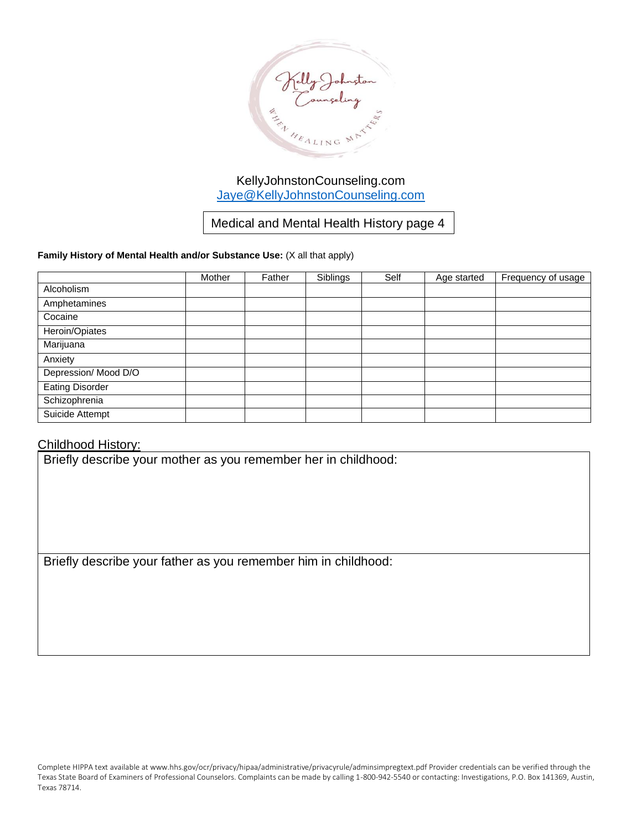

Medical and Mental Health History page 4

### **Family History of Mental Health and/or Substance Use:** (X all that apply)

|                        | Mother | Father | Siblings | Self | Age started | Frequency of usage |
|------------------------|--------|--------|----------|------|-------------|--------------------|
| Alcoholism             |        |        |          |      |             |                    |
| Amphetamines           |        |        |          |      |             |                    |
| Cocaine                |        |        |          |      |             |                    |
| Heroin/Opiates         |        |        |          |      |             |                    |
| Marijuana              |        |        |          |      |             |                    |
| Anxiety                |        |        |          |      |             |                    |
| Depression/ Mood D/O   |        |        |          |      |             |                    |
| <b>Eating Disorder</b> |        |        |          |      |             |                    |
| Schizophrenia          |        |        |          |      |             |                    |
| Suicide Attempt        |        |        |          |      |             |                    |

## Childhood History:

Briefly describe your mother as you remember her in childhood:

Briefly describe your father as you remember him in childhood: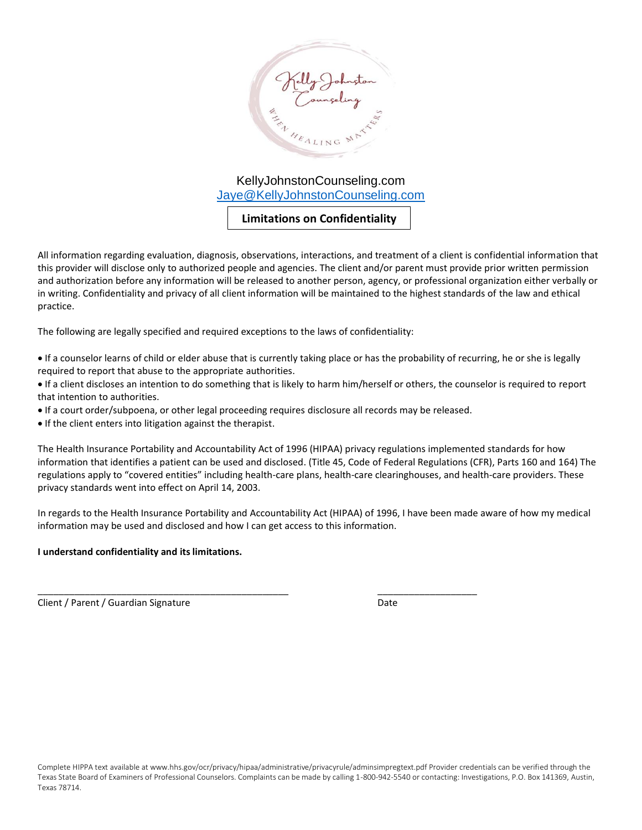

## **Limitations on Confidentiality**

All information regarding evaluation, diagnosis, observations, interactions, and treatment of a client is confidential information that this provider will disclose only to authorized people and agencies. The client and/or parent must provide prior written permission and authorization before any information will be released to another person, agency, or professional organization either verbally or in writing. Confidentiality and privacy of all client information will be maintained to the highest standards of the law and ethical practice.

The following are legally specified and required exceptions to the laws of confidentiality:

- If a counselor learns of child or elder abuse that is currently taking place or has the probability of recurring, he or she is legally required to report that abuse to the appropriate authorities.
- If a client discloses an intention to do something that is likely to harm him/herself or others, the counselor is required to report that intention to authorities.
- If a court order/subpoena, or other legal proceeding requires disclosure all records may be released.

\_\_\_\_\_\_\_\_\_\_\_\_\_\_\_\_\_\_\_\_\_\_\_\_\_\_\_\_\_\_\_\_\_\_\_\_\_\_\_\_\_\_\_\_\_\_\_\_ \_\_\_\_\_\_\_\_\_\_\_\_\_\_\_\_\_\_\_

• If the client enters into litigation against the therapist.

The Health Insurance Portability and Accountability Act of 1996 (HIPAA) privacy regulations implemented standards for how information that identifies a patient can be used and disclosed. (Title 45, Code of Federal Regulations (CFR), Parts 160 and 164) The regulations apply to "covered entities" including health-care plans, health-care clearinghouses, and health-care providers. These privacy standards went into effect on April 14, 2003.

In regards to the Health Insurance Portability and Accountability Act (HIPAA) of 1996, I have been made aware of how my medical information may be used and disclosed and how I can get access to this information.

### **I understand confidentiality and its limitations.**

Client / Parent / Guardian Signature Date Date Date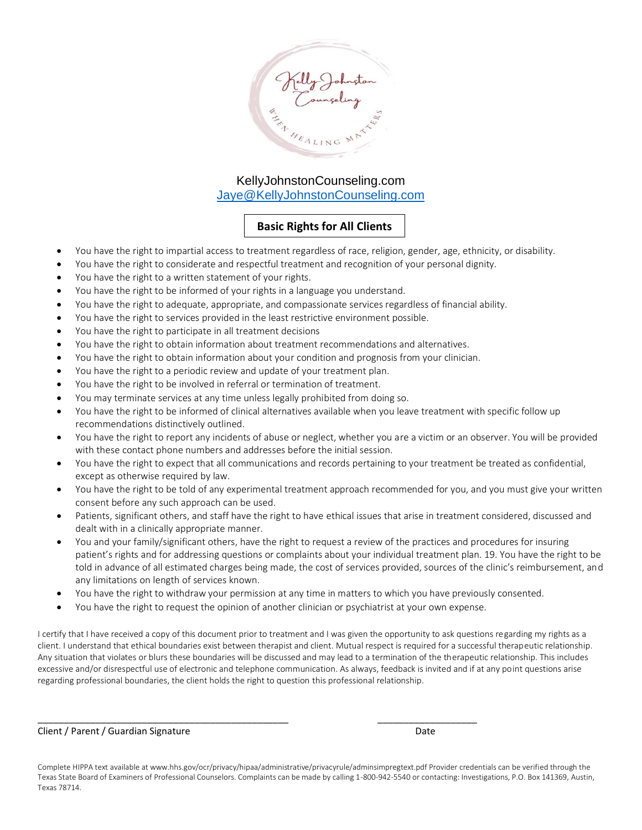

## **Basic Rights for All Clients**

- You have the right to impartial access to treatment regardless of race, religion, gender, age, ethnicity, or disability.
- You have the right to considerate and respectful treatment and recognition of your personal dignity.
- You have the right to a written statement of your rights.
- You have the right to be informed of your rights in a language you understand.
- You have the right to adequate, appropriate, and compassionate services regardless of financial ability.
- You have the right to services provided in the least restrictive environment possible.
- You have the right to participate in all treatment decisions
- You have the right to obtain information about treatment recommendations and alternatives.
- You have the right to obtain information about your condition and prognosis from your clinician.
- You have the right to a periodic review and update of your treatment plan.
- You have the right to be involved in referral or termination of treatment.
- You may terminate services at any time unless legally prohibited from doing so.
- You have the right to be informed of clinical alternatives available when you leave treatment with specific follow up recommendations distinctively outlined.
- You have the right to report any incidents of abuse or neglect, whether you are a victim or an observer. You will be provided with these contact phone numbers and addresses before the initial session.
- You have the right to expect that all communications and records pertaining to your treatment be treated as confidential, except as otherwise required by law.
- You have the right to be told of any experimental treatment approach recommended for you, and you must give your written consent before any such approach can be used.
- Patients, significant others, and staff have the right to have ethical issues that arise in treatment considered, discussed and dealt with in a clinically appropriate manner.
- You and your family/significant others, have the right to request a review of the practices and procedures for insuring patient's rights and for addressing questions or complaints about your individual treatment plan. 19. You have the right to be told in advance of all estimated charges being made, the cost of services provided, sources of the clinic's reimbursement, and any limitations on length of services known.
- You have the right to withdraw your permission at any time in matters to which you have previously consented.
- You have the right to request the opinion of another clinician or psychiatrist at your own expense.

\_\_\_\_\_\_\_\_\_\_\_\_\_\_\_\_\_\_\_\_\_\_\_\_\_\_\_\_\_\_\_\_\_\_\_\_\_\_\_\_\_\_\_\_\_\_\_\_ \_\_\_\_\_\_\_\_\_\_\_\_\_\_\_\_\_\_\_

I certify that I have received a copy of this document prior to treatment and I was given the opportunity to ask questions regarding my rights as a client. I understand that ethical boundaries exist between therapist and client. Mutual respect is required for a successful therapeutic relationship. Any situation that violates or blurs these boundaries will be discussed and may lead to a termination of the therapeutic relationship. This includes excessive and/or disrespectful use of electronic and telephone communication. As always, feedback is invited and if at any point questions arise regarding professional boundaries, the client holds the right to question this professional relationship.

Client / Parent / Guardian Signature Date

Complete HIPPA text available at www.hhs.gov/ocr/privacy/hipaa/administrative/privacyrule/adminsimpregtext.pdf Provider credentials can be verified through the Texas State Board of Examiners of Professional Counselors. Complaints can be made by calling 1-800-942-5540 or contacting: Investigations, P.O. Box 141369, Austin, Texas 78714.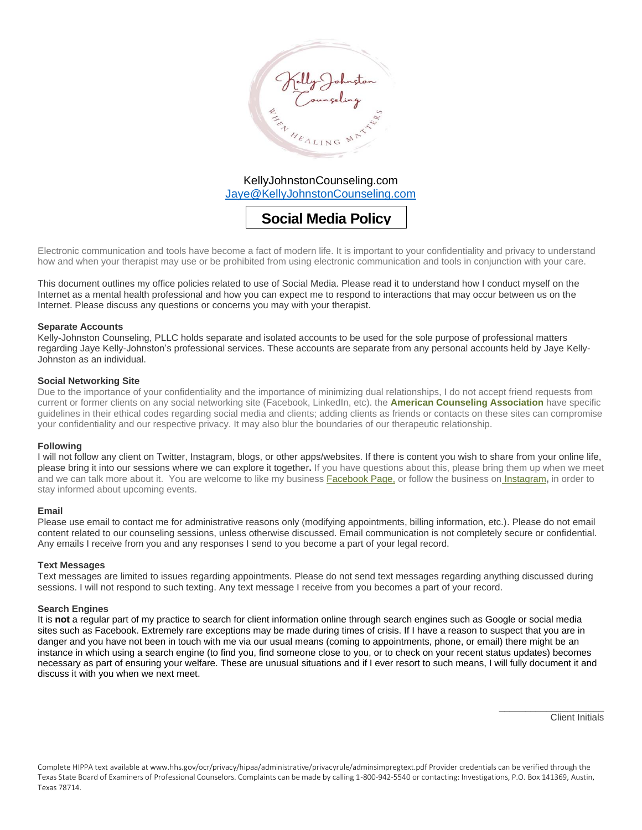

**Social Media Policy** 

Electronic communication and tools have become a fact of modern life. It is important to your confidentiality and privacy to understand how and when your therapist may use or be prohibited from using electronic communication and tools in conjunction with your care.

This document outlines my office policies related to use of Social Media. Please read it to understand how I conduct myself on the Internet as a mental health professional and how you can expect me to respond to interactions that may occur between us on the Internet. Please discuss any questions or concerns you may with your therapist.

#### **Separate Accounts**

Kelly-Johnston Counseling, PLLC holds separate and isolated accounts to be used for the sole purpose of professional matters regarding Jaye Kelly-Johnston's professional services. These accounts are separate from any personal accounts held by Jaye Kelly-Johnston as an individual.

#### **Social Networking Site**

Due to the importance of your confidentiality and the importance of minimizing dual relationships, I do not accept friend requests from current or former clients on any social networking site (Facebook, LinkedIn, etc). the **[American Counseling Association](https://www.counseling.org/)** have specific guidelines in their ethical codes regarding social media and clients; adding clients as friends or contacts on these sites can compromise your confidentiality and our respective privacy. It may also blur the boundaries of our therapeutic relationship.

#### **Following**

I will not follow any client on Twitter, Instagram, blogs, or other apps/websites. If there is content you wish to share from your online life, please bring it into our sessions where we can explore it together**.** If you have questions about this, please bring them up when we meet and we can talk more about it. You are welcome to like my business [Facebook Page,](http://www.facebook.com/eastsidefamilycounseling) or follow the business on [Instagram](https://www.instagram.com/eastsidecouplestherapy/)**,** in order to stay informed about upcoming events.

#### **Email**

Please use email to contact me for administrative reasons only (modifying appointments, billing information, etc.). Please do not email content related to our counseling sessions, unless otherwise discussed. Email communication is not completely secure or confidential. Any emails I receive from you and any responses I send to you become a part of your legal record.

#### **Text Messages**

Text messages are limited to issues regarding appointments. Please do not send text messages regarding anything discussed during sessions. I will not respond to such texting. Any text message I receive from you becomes a part of your record.

#### **Search Engines**

It is **not** a regular part of my practice to search for client information online through search engines such as Google or social media sites such as Facebook. Extremely rare exceptions may be made during times of crisis. If I have a reason to suspect that you are in danger and you have not been in touch with me via our usual means (coming to appointments, phone, or email) there might be an instance in which using a search engine (to find you, find someone close to you, or to check on your recent status updates) becomes necessary as part of ensuring your welfare. These are unusual situations and if I ever resort to such means, I will fully document it and discuss it with you when we next meet.

Client Initials

\_\_\_\_\_\_\_\_\_\_\_\_\_\_\_\_\_\_\_\_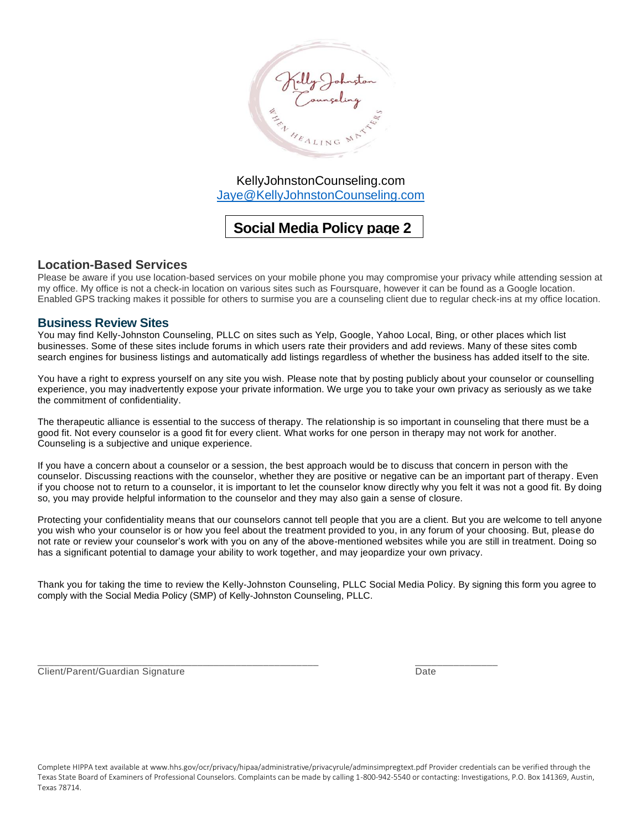

# **Social Media Policy page 2**

### **Location-Based Services**

Please be aware if you use location-based services on your mobile phone you may compromise your privacy while attending session at my office. My office is not a check-in location on various sites such as Foursquare, however it can be found as a Google location. Enabled GPS tracking makes it possible for others to surmise you are a counseling client due to regular check-ins at my office location.

### **Business Review Sites**

You may find Kelly-Johnston Counseling, PLLC on sites such as Yelp, Google, Yahoo Local, Bing, or other places which list businesses. Some of these sites include forums in which users rate their providers and add reviews. Many of these sites comb search engines for business listings and automatically add listings regardless of whether the business has added itself to the site.

You have a right to express yourself on any site you wish. Please note that by posting publicly about your counselor or counselling experience, you may inadvertently expose your private information. We urge you to take your own privacy as seriously as we take the commitment of confidentiality.

The therapeutic alliance is essential to the success of therapy. The relationship is so important in counseling that there must be a good fit. Not every counselor is a good fit for every client. What works for one person in therapy may not work for another. Counseling is a subjective and unique experience.

If you have a concern about a counselor or a session, the best approach would be to discuss that concern in person with the counselor. Discussing reactions with the counselor, whether they are positive or negative can be an important part of therapy. Even if you choose not to return to a counselor, it is important to let the counselor know directly why you felt it was not a good fit. By doing so, you may provide helpful information to the counselor and they may also gain a sense of closure.

Protecting your confidentiality means that our counselors cannot tell people that you are a client. But you are welcome to tell anyone you wish who your counselor is or how you feel about the treatment provided to you, in any forum of your choosing. But, please do not rate or review your counselor's work with you on any of the above-mentioned websites while you are still in treatment. Doing so has a significant potential to damage your ability to work together, and may jeopardize your own privacy.

Thank you for taking the time to review the Kelly-Johnston Counseling, PLLC Social Media Policy. By signing this form you agree to comply with the Social Media Policy (SMP) of Kelly-Johnston Counseling, PLLC.

\_\_\_\_\_\_\_\_\_\_\_\_\_\_\_\_\_\_\_\_\_\_\_\_\_\_\_\_\_\_\_\_\_\_\_\_\_\_\_\_\_\_\_\_\_\_\_\_\_\_\_ \_\_\_\_\_\_\_\_\_\_\_\_\_\_\_

Client/Parent/Guardian Signature **Date** Date Date Date Date Date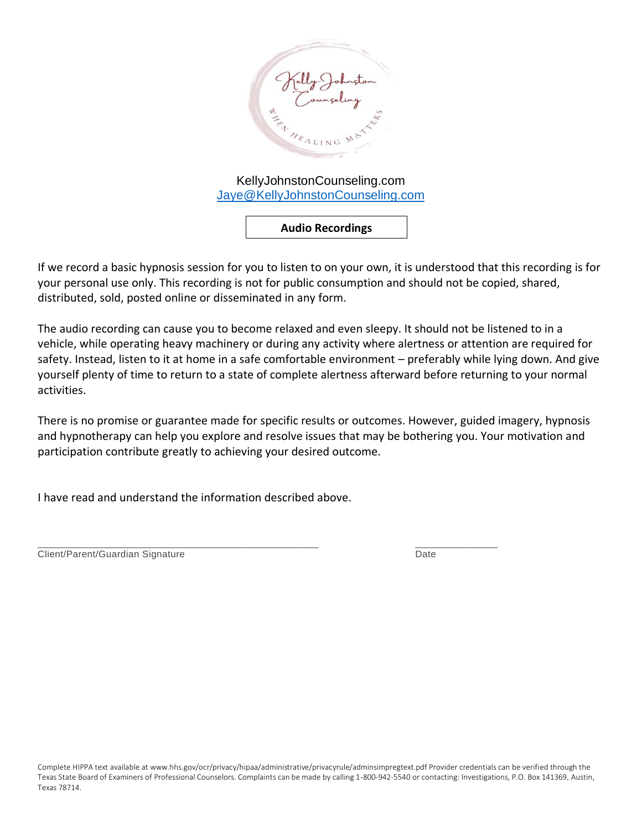

**Audio Recordings**

If we record a basic hypnosis session for you to listen to on your own, it is understood that this recording is for your personal use only. This recording is not for public consumption and should not be copied, shared, distributed, sold, posted online or disseminated in any form.

The audio recording can cause you to become relaxed and even sleepy. It should not be listened to in a vehicle, while operating heavy machinery or during any activity where alertness or attention are required for safety. Instead, listen to it at home in a safe comfortable environment – preferably while lying down. And give yourself plenty of time to return to a state of complete alertness afterward before returning to your normal activities.

There is no promise or guarantee made for specific results or outcomes. However, guided imagery, hypnosis and hypnotherapy can help you explore and resolve issues that may be bothering you. Your motivation and participation contribute greatly to achieving your desired outcome.

I have read and understand the information described above.

\_\_\_\_\_\_\_\_\_\_\_\_\_\_\_\_\_\_\_\_\_\_\_\_\_\_\_\_\_\_\_\_\_\_\_\_\_\_\_\_\_\_\_\_\_\_\_\_\_\_\_ \_\_\_\_\_\_\_\_\_\_\_\_\_\_\_ Client/Parent/Guardian Signature **Date** Date Date Date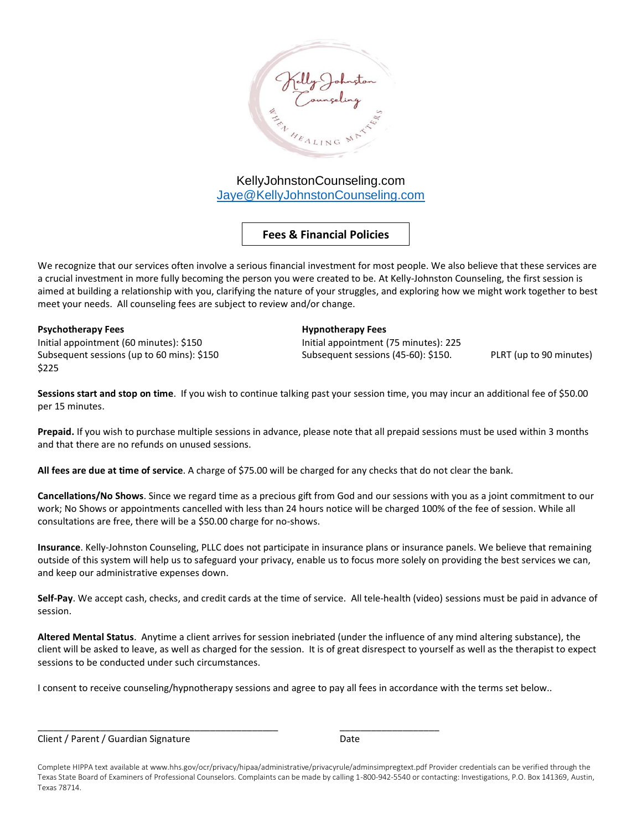

## **Fees & Financial Policies**

We recognize that our services often involve a serious financial investment for most people. We also believe that these services are a crucial investment in more fully becoming the person you were created to be. At Kelly-Johnston Counseling, the first session is aimed at building a relationship with you, clarifying the nature of your struggles, and exploring how we might work together to best meet your needs. All counseling fees are subject to review and/or change.

Initial appointment (60 minutes): \$150 Initial appointment (75 minutes): 225 Subsequent sessions (up to 60 mins): \$150 Subsequent sessions (45-60): \$150. PLRT (up to 90 minutes) \$225

**Psychotherapy Fees Hypnotherapy Fees**

**Sessions start and stop on time**. If you wish to continue talking past your session time, you may incur an additional fee of \$50.00 per 15 minutes.

**Prepaid.** If you wish to purchase multiple sessions in advance, please note that all prepaid sessions must be used within 3 months and that there are no refunds on unused sessions.

**All fees are due at time of service**. A charge of \$75.00 will be charged for any checks that do not clear the bank.

**Cancellations/No Shows**. Since we regard time as a precious gift from God and our sessions with you as a joint commitment to our work; No Shows or appointments cancelled with less than 24 hours notice will be charged 100% of the fee of session. While all consultations are free, there will be a \$50.00 charge for no-shows.

Insurance. Kelly-Johnston Counseling, PLLC does not participate in insurance plans or insurance panels. We believe that remaining outside of this system will help us to safeguard your privacy, enable us to focus more solely on providing the best services we can, and keep our administrative expenses down.

**Self-Pay**. We accept cash, checks, and credit cards at the time of service. All tele-health (video) sessions must be paid in advance of session.

**Altered Mental Status**. Anytime a client arrives for session inebriated (under the influence of any mind altering substance), the client will be asked to leave, as well as charged for the session. It is of great disrespect to yourself as well as the therapist to expect sessions to be conducted under such circumstances.

I consent to receive counseling/hypnotherapy sessions and agree to pay all fees in accordance with the terms set below..

\_\_\_\_\_\_\_\_\_\_\_\_\_\_\_\_\_\_\_\_\_\_\_\_\_\_\_\_\_\_\_\_\_\_\_\_\_\_\_\_\_\_\_\_\_\_ \_\_\_\_\_\_\_\_\_\_\_\_\_\_\_\_\_\_\_

Client / Parent / Guardian Signature Date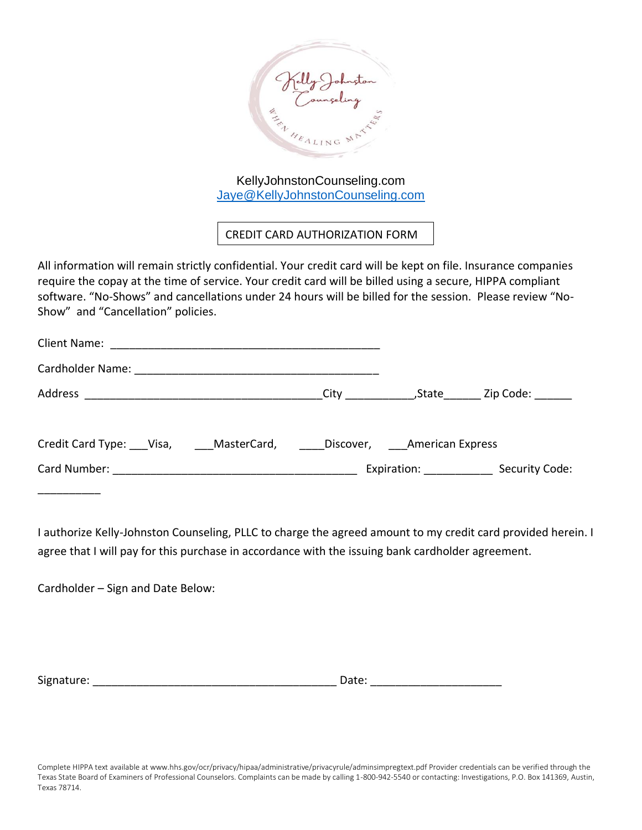

CREDIT CARD AUTHORIZATION FORM

All information will remain strictly confidential. Your credit card will be kept on file. Insurance companies require the copay at the time of service. Your credit card will be billed using a secure, HIPPA compliant software. "No-Shows" and cancellations under 24 hours will be billed for the session. Please review "No-Show" and "Cancellation" policies.

|                                                                |  |                         | City (State Zip Code: |
|----------------------------------------------------------------|--|-------------------------|-----------------------|
| Credit Card Type: Visa, MasterCard, Discover, American Express |  |                         |                       |
|                                                                |  | Expiration: Expiration: | Security Code:        |
|                                                                |  |                         |                       |

I authorize Kelly-Johnston Counseling, PLLC to charge the agreed amount to my credit card provided herein. I agree that I will pay for this purchase in accordance with the issuing bank cardholder agreement.

Cardholder – Sign and Date Below:

Signature: etc. and the state of the state of the state of the Date:  $\Box$  Date:  $\Box$